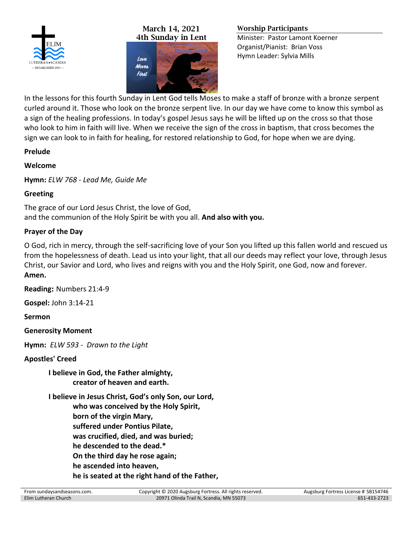

## **March 14, 2021 4th Sunday in Lent**



#### **Worship Participants**

Minister: Pastor Lamont Koerner Organist/Pianist: Brian Voss Hymn Leader: Sylvia Mills

In the lessons for this fourth Sunday in Lent God tells Moses to make a staff of bronze with a bronze serpent curled around it. Those who look on the bronze serpent live. In our day we have come to know this symbol as a sign of the healing professions. In today's gospel Jesus says he will be lifted up on the cross so that those who look to him in faith will live. When we receive the sign of the cross in baptism, that cross becomes the sign we can look to in faith for healing, for restored relationship to God, for hope when we are dying.

## **Prelude**

## **Welcome**

**Hymn:** *ELW 768 - Lead Me, Guide Me*

# **Greeting**

The grace of our Lord Jesus Christ, the love of God, and the communion of the Holy Spirit be with you all. **And also with you.**

# **Prayer of the Day**

O God, rich in mercy, through the self-sacrificing love of your Son you lifted up this fallen world and rescued us from the hopelessness of death. Lead us into your light, that all our deeds may reflect your love, through Jesus Christ, our Savior and Lord, who lives and reigns with you and the Holy Spirit, one God, now and forever. **Amen.**

**Reading:** Numbers 21:4-9

**Gospel:** John 3:14-21

**Sermon**

**Generosity Moment**

**Hymn:** *ELW 593 - Drawn to the Light*

## **Apostles' Creed**

**I believe in God, the Father almighty, creator of heaven and earth.**

**I believe in Jesus Christ, God's only Son, our Lord, who was conceived by the Holy Spirit, born of the virgin Mary, suffered under Pontius Pilate, was crucified, died, and was buried; he descended to the dead.\* On the third day he rose again; he ascended into heaven, he is seated at the right hand of the Father,**